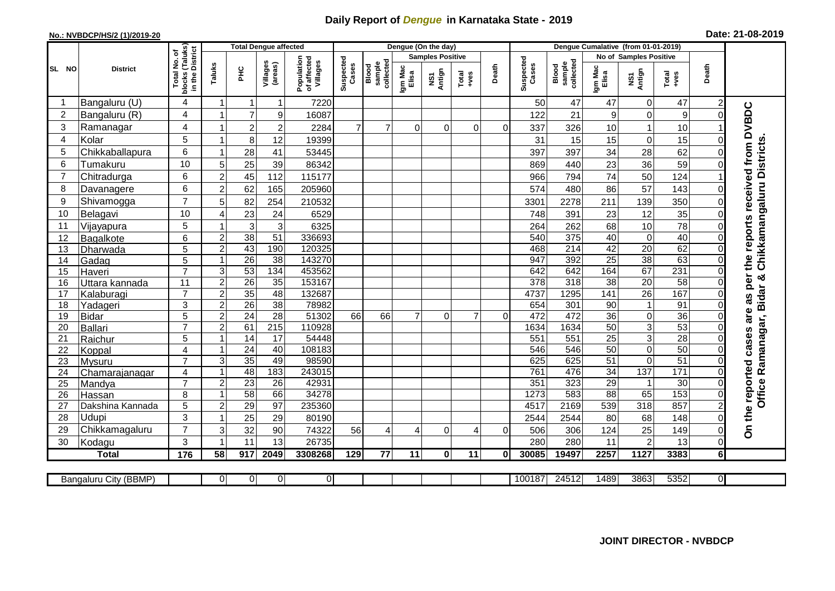## **Daily Report of** *Dengue* **in Karnataka State - 2019**

## **No.: NVBDCP/HS/2 (1)/2019-20**

| Date: 21-08-2019 |  |  |  |  |
|------------------|--|--|--|--|
|------------------|--|--|--|--|

|                |                       |                                                                       |                                  |                  | <b>Total Dengue affected</b> |                                       |                    |                              |                  | Dengue (On the day)     |               |          |                    |                              |                               |                     |                  |                |                                        |
|----------------|-----------------------|-----------------------------------------------------------------------|----------------------------------|------------------|------------------------------|---------------------------------------|--------------------|------------------------------|------------------|-------------------------|---------------|----------|--------------------|------------------------------|-------------------------------|---------------------|------------------|----------------|----------------------------------------|
|                |                       |                                                                       |                                  |                  |                              |                                       |                    |                              |                  | <b>Samples Positive</b> |               |          |                    |                              | <b>No of Samples Positive</b> |                     |                  |                |                                        |
| SL NO          | <b>District</b>       | I No. of<br>Taluks)<br>District<br>Total<br> <br> blocks<br> in the D | Taluks                           | ΞÉ               | Villages<br>(areas)          | Population<br>of affected<br>Villages | Suspected<br>Cases | collected<br>Blood<br>sample | Igm Mac<br>Elisa | Antign<br>ŠΝ            | Total<br>+ves | Death    | Suspected<br>Cases | collected<br>sample<br>Blood | Igm Mac<br>Elisa              | Antign<br>Σñ        | Total<br>+ves    | Death          |                                        |
| -1             | Bangaluru (U)         | 4                                                                     | 1                                | $\mathbf 1$      | 1                            | 7220                                  |                    |                              |                  |                         |               |          | 50                 | 47                           | 47                            | 0                   | 47               | $\overline{c}$ |                                        |
| $\overline{2}$ | Bangaluru (R)         | 4                                                                     | 1                                | $\overline{7}$   | $\boldsymbol{9}$             | 16087                                 |                    |                              |                  |                         |               |          | 122                | 21                           | 9                             | $\mathbf 0$         | $\boldsymbol{9}$ | $\Omega$       |                                        |
| 3              | Ramanagar             | 4                                                                     | 1                                | $\overline{2}$   | $\overline{c}$               | 2284                                  | $\overline{7}$     | $\overline{7}$               | $\Omega$         | $\Omega$                | $\Omega$      | $\Omega$ | 337                | 326                          | 10                            | 1                   | 10               |                | as per the reports received from DVBDC |
| $\overline{4}$ | Kolar                 | 5                                                                     | 1                                | 8                | 12                           | 19399                                 |                    |                              |                  |                         |               |          | 31                 | 15                           | 15                            | $\mathbf 0$         | 15               | $\Omega$       |                                        |
| 5              | Chikkaballapura       | 6                                                                     | $\mathbf{1}$                     | 28               | 41                           | 53445                                 |                    |                              |                  |                         |               |          | 397                | 397                          | 34                            | 28                  | 62               | $\Omega$       |                                        |
| 6              | Tumakuru              | 10                                                                    | 5                                | 25               | 39                           | 86342                                 |                    |                              |                  |                         |               |          | 869                | 440                          | 23                            | 36                  | 59               | $\Omega$       |                                        |
| $\overline{7}$ | Chitradurga           | 6                                                                     | $\overline{2}$                   | 45               | 112                          | 115177                                |                    |                              |                  |                         |               |          | 966                | 794                          | 74                            | 50                  | 124              |                |                                        |
| 8              | Davanagere            | 6                                                                     | $\overline{2}$                   | 62               | 165                          | 205960                                |                    |                              |                  |                         |               |          | 574                | 480                          | 86                            | $\overline{57}$     | 143              | $\Omega$       |                                        |
| 9              | Shivamogga            | $\overline{7}$                                                        | 5                                | 82               | 254                          | 210532                                |                    |                              |                  |                         |               |          | 3301               | 2278                         | 211                           | 139                 | 350              | $\Omega$       | Chikkamangaluru Districts.             |
| 10             | Belagavi              | 10                                                                    | $\overline{4}$                   | 23               | 24                           | 6529                                  |                    |                              |                  |                         |               |          | 748                | 391                          | 23                            | 12                  | 35               | $\Omega$       |                                        |
| 11             | Vijayapura            | 5                                                                     | 1                                | 3                | $\mathbf{3}$                 | 6325                                  |                    |                              |                  |                         |               |          | 264                | 262                          | 68                            | 10                  | $\overline{78}$  | 0              |                                        |
| 12             | Bagalkote             | 6                                                                     | $\overline{2}$                   | 38               | $\overline{51}$              | 336693                                |                    |                              |                  |                         |               |          | 540                | 375                          | $\overline{40}$               | $\pmb{0}$           | 40               | $\Omega$       |                                        |
| 13             | Dharwada              | 5                                                                     | $\overline{c}$                   | 43               | 190                          | 120325                                |                    |                              |                  |                         |               |          | 468                | 214                          | $\overline{42}$               | 20                  | 62               | $\Omega$       |                                        |
| 14             | Gadag                 | 5                                                                     | $\mathbf{1}$                     | $\overline{26}$  | 38                           | 143270                                |                    |                              |                  |                         |               |          | 947                | 392                          | $\overline{25}$               | 38                  | 63               | $\Omega$       |                                        |
| 15             | Haveri                | $\overline{7}$                                                        | 3                                | 53               | 134                          | 453562                                |                    |                              |                  |                         |               |          | 642                | 642                          | 164                           | 67                  | 231              | $\Omega$       | න්                                     |
| 16             | Uttara kannada        | 11                                                                    | $\overline{c}$                   | $\overline{26}$  | 35                           | 153167                                |                    |                              |                  |                         |               |          | 378                | 318                          | $\overline{38}$               | $\overline{20}$     | 58               | 0              |                                        |
| 17             | Kalaburagi            | $\overline{7}$                                                        | $\overline{2}$                   | 35               | 48                           | 132687                                |                    |                              |                  |                         |               |          | 4737               | 1295                         | 141                           | 26                  | 167              | $\Omega$       |                                        |
| 18             | Yadageri              | 3                                                                     | $\overline{2}$                   | 26               | 38                           | 78982                                 |                    |                              |                  |                         |               |          | 654                | 301                          | 90                            | $\mathbf{1}$        | 91               | 0              |                                        |
| 19             | <b>Bidar</b>          | 5<br>$\overline{7}$                                                   | $\overline{2}$<br>$\overline{2}$ | 24<br>61         | 28<br>$\overline{215}$       | 51302<br>110928                       | 66                 | 66                           | 7                | 0                       | 7             | $\Omega$ | 472<br>1634        | 472<br>1634                  | 36<br>$\overline{50}$         | $\overline{0}$<br>3 | 36<br>53         | $\Omega$<br>0  | are                                    |
| 20<br>21       | Ballari<br>Raichur    | 5                                                                     | 1                                | $\overline{14}$  | 17                           | 54448                                 |                    |                              |                  |                         |               |          | 551                | 551                          | $\overline{25}$               | $\overline{3}$      | 28               | $\Omega$       | Ramanagar, Bidar                       |
| 22             | Koppal                | 4                                                                     | $\mathbf 1$                      | 24               | 40                           | 108183                                |                    |                              |                  |                         |               |          | 546                | 546                          | 50                            | $\overline{0}$      | 50               | $\Omega$       |                                        |
| 23             | Mysuru                | $\overline{7}$                                                        | 3                                | 35               | 49                           | 98590                                 |                    |                              |                  |                         |               |          | 625                | 625                          | $\overline{51}$               | $\overline{0}$      | 51               | $\mathbf 0$    |                                        |
| 24             | Chamarajanagar        | 4                                                                     | 1                                | 48               | 183                          | 243015                                |                    |                              |                  |                         |               |          | 761                | 476                          | $\overline{34}$               | 137                 | 171              | $\Omega$       |                                        |
| 25             | Mandya                | $\overline{7}$                                                        | $\overline{2}$                   | $\overline{23}$  | 26                           | 42931                                 |                    |                              |                  |                         |               |          | 351                | 323                          | $\overline{29}$               | $\mathbf{1}$        | 30               | 0              | Office                                 |
| 26             | Hassan                | 8                                                                     | $\mathbf{1}$                     | 58               | 66                           | 34278                                 |                    |                              |                  |                         |               |          | 1273               | 583                          | $\overline{88}$               | 65                  | 153              | 0              |                                        |
| 27             | Dakshina Kannada      | 5                                                                     | $\overline{2}$                   | 29               | 97                           | 235360                                |                    |                              |                  |                         |               |          | 4517               | 2169                         | 539                           | $\overline{318}$    | 857              | $\overline{2}$ |                                        |
| 28             | Udupi                 | 3                                                                     | 1                                | 25               | 29                           | 80190                                 |                    |                              |                  |                         |               |          | 2544               | 2544                         | 80                            | 68                  | 148              | $\Omega$       |                                        |
| 29             | Chikkamagaluru        | $\overline{7}$                                                        | 3                                | 32               | 90                           | 74322                                 | 56                 | $\overline{4}$               | 4                | $\Omega$                | 4             | $\Omega$ | 506                | 306                          | 124                           | 25                  | 149              | $\Omega$       | On the reported cases                  |
| 30             | Kodagu                | 3                                                                     | 1                                | 11               | 13                           | 26735                                 |                    |                              |                  |                         |               |          | 280                | 280                          | 11                            | $\overline{c}$      | 13               | $\mathbf 0$    |                                        |
|                | <b>Total</b>          | 176                                                                   | $\overline{58}$                  | $\overline{917}$ | 2049                         | 3308268                               | 129                | $\overline{77}$              | 11               | $\mathbf{0}$            | 11            | 0        | 30085              | 19497                        | 2257                          | 1127                | 3383             | 6 <sup>1</sup> |                                        |
|                |                       |                                                                       |                                  |                  |                              |                                       |                    |                              |                  |                         |               |          |                    |                              |                               |                     |                  |                |                                        |
|                | Bangaluru City (BBMP) |                                                                       | $\overline{0}$                   | $\overline{0}$   | $\Omega$                     | $\overline{O}$                        |                    |                              |                  |                         |               |          | 100187             | 24512                        | 1489                          | 3863                | 5352             | $\overline{0}$ |                                        |